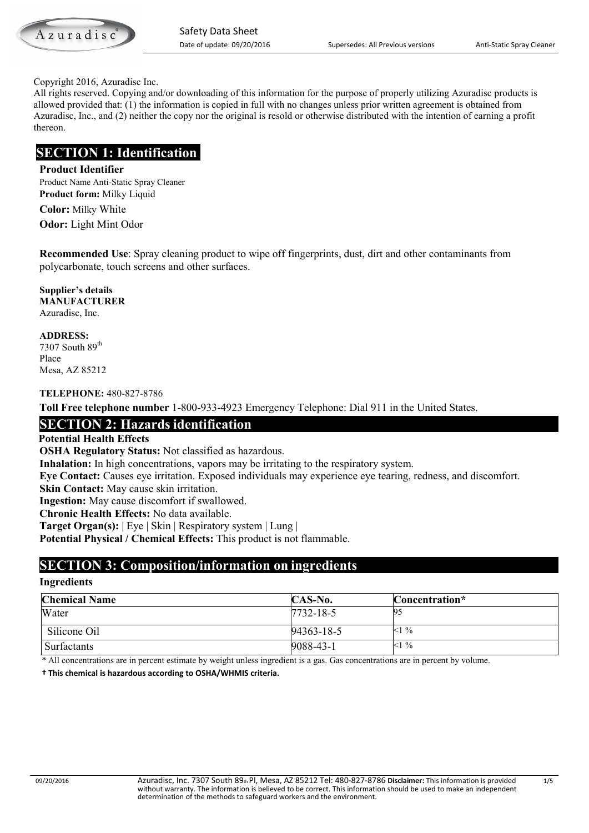Azuradisc

#### Copyright 2016, Azuradisc Inc.

 All rights reserved. Copying and/or downloading of this information for the purpose of properly utilizing Azuradisc products is allowed provided that: (1) the information is copied in full with no changes unless prior written agreement is obtained from Azuradisc, Inc., and (2) neither the copy nor the original is resold or otherwise distributed with the intention of earning a profit thereon.

# **SECTION 1: Identification**

#### **Product Identifier**

Product Name Anti-Static Spray Cleaner **Product form:** Milky Liquid

**Color:** Milky White **Odor:** Light Mint Odor

**Recommended Use**: Spray cleaning product to wipe off fingerprints, dust, dirt and other contaminants from polycarbonate, touch screens and other surfaces.

**Supplier's details MANUFACTURER** Azuradisc, Inc.

**ADDRESS:** 7307 South 89<sup>th</sup>

Place Mesa, AZ 85212

**TELEPHONE:** 480-827-8786

**Toll Free telephone number** 1-800-933-4923 Emergency Telephone: Dial 911 in the United States.

# **SECTION 2: Hazards identification**

#### **Potential Health Effects**

**OSHA Regulatory Status:** Not classified as hazardous.

**Inhalation:** In high concentrations, vapors may be irritating to the respiratory system.

**Eye Contact:** Causes eye irritation. Exposed individuals may experience eye tearing, redness, and discomfort.

**Skin Contact:** May cause skin irritation.

**Ingestion:** May cause discomfort if swallowed.

**Chronic Health Effects:** No data available.

**Target Organ(s):** | Eye | Skin | Respiratory system | Lung |

**Potential Physical / Chemical Effects:** This product is not flammable.

# **SECTION 3: Composition/information on ingredients**

## **Ingredients**

| <b>Chemical Name</b> | CAS-No.         | Concentration* |
|----------------------|-----------------|----------------|
| Water                | $7732 - 18 - 5$ | 95             |
| Silicone Oil         | 94363-18-5      | $<1\%$         |
| Surfactants          | 9088-43-1       | $<1\%$         |

\* All concentrations are in percent estimate by weight unless ingredient is a gas. Gas concentrations are in percent by volume.

 **† This chemical is hazardous according to OSHA/WHMIS criteria.**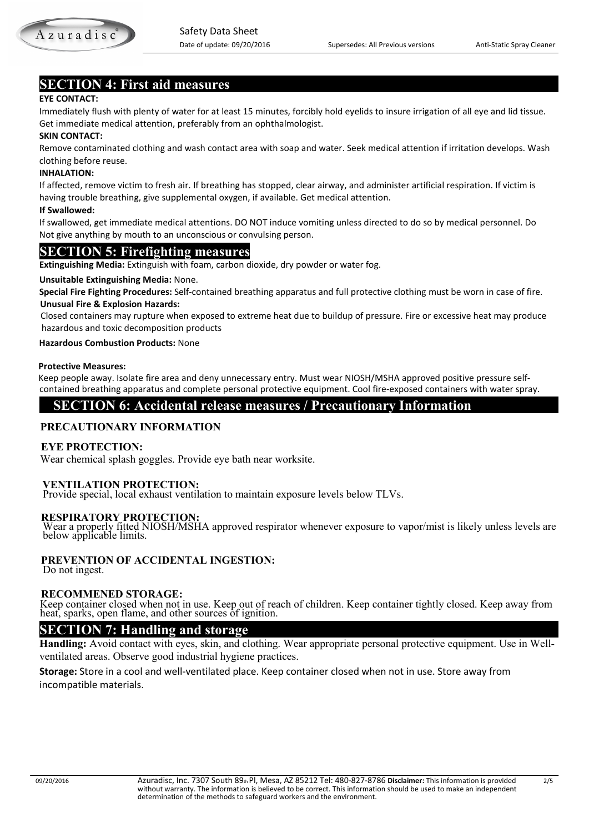

# **SECTION 4: First aid measures**

#### **EYE CONTACT:**

Immediately flush with plenty of water for at least 15 minutes, forcibly hold eyelids to insure irrigation of all eye and lid tissue. Get immediate medical attention, preferably from an ophthalmologist.

#### **SKIN CONTACT:**

 Remove contaminated clothing and wash contact area with soap and water. Seek medical attention if irritation develops. Wash clothing before reuse.

#### **INHALATION:**

If affected, remove victim to fresh air. If breathing has stopped, clear airway, and administer artificial respiration. If victim is having trouble breathing, give supplemental oxygen, if available. Get medical attention.

#### **If Swallowed:**

If swallowed, get immediate medical attentions. DO NOT induce vomiting unless directed to do so by medical personnel. Do Not give anything by mouth to an unconscious or convulsing person.

### **SECTION 5: Firefighting measures**

**Extinguishing Media:** Extinguish with foam, carbon dioxide, dry powder or water fog.

#### **Unsuitable Extinguishing Media:** None.

 **Special Fire Fighting Procedures:** Self-contained breathing apparatus and full protective clothing must be worn in case of fire.  **Unusual Fire & Explosion Hazards:** 

 Closed containers may rupture when exposed to extreme heat due to buildup of pressure. Fire or excessive heat may produce hazardous and toxic decomposition products

#### **Hazardous Combustion Products:** None

#### **Protective Measures:**

 Keep people away. Isolate fire area and deny unnecessary entry. Must wear NIOSH/MSHA approved positive pressure self contained breathing apparatus and complete personal protective equipment. Cool fire-exposed containers with water spray.

## **SECTION 6: Accidental release measures / Precautionary Information**

#### **PRECAUTIONARY INFORMATION**

#### **EYE PROTECTION:**

Wear chemical splash goggles. Provide eye bath near worksite.

 **VENTILATION PROTECTION:** Provide special, local exhaust ventilation to maintain exposure levels below TLVs.

**RESPIRATORY PROTECTION:** Wear a properly fitted NIOSH/MSHA approved respirator whenever exposure to vapor/mist is likely unless levels are below applicable limits.

# **PREVENTION OF ACCIDENTAL INGESTION:** Do not ingest.

**RECOMMENED STORAGE:**<br>Keep container closed when not in use. Keep out of reach of children. Keep container tightly closed. Keep away from<br>heat, sparks, open flame, and other sources of ignition.

### **SECTION 7: Handling and storage**

**Handling:** Avoid contact with eyes, skin, and clothing. Wear appropriate personal protective equipment. Use in Wellventilated areas. Observe good industrial hygiene practices.

**Storage:** Store in a cool and well-ventilated place. Keep container closed when not in use. Store away from incompatible materials.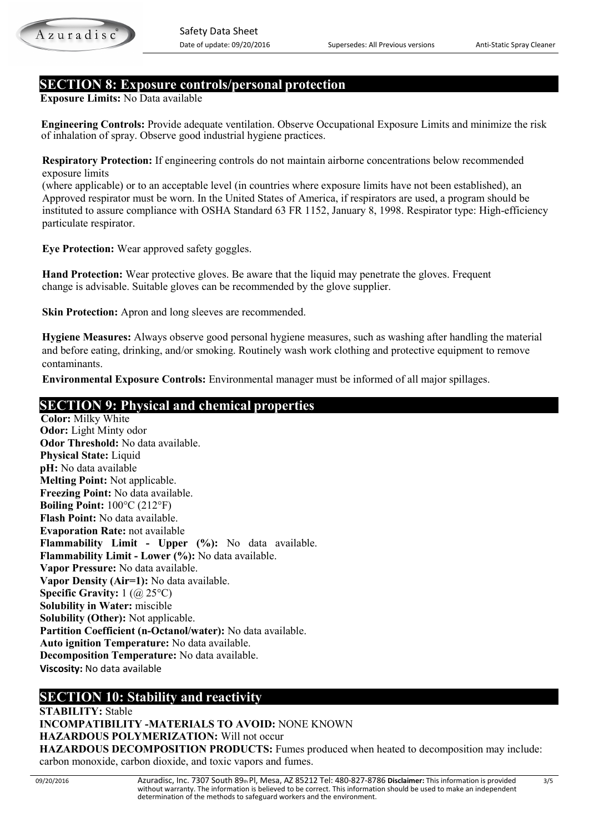

# **SECTION 8: Exposure controls/personal protection**

**Exposure Limits:** No Data available

 **Engineering Controls:** Provide adequate ventilation. Observe Occupational Exposure Limits and minimize the risk of inhalation of spray. Observe good industrial hygiene practices.

 **Respiratory Protection:** If engineering controls do not maintain airborne concentrations below recommended exposure limits

(where applicable) or to an acceptable level (in countries where exposure limits have not been established), an Approved respirator must be worn. In the United States of America, if respirators are used, a program should be instituted to assure compliance with OSHA Standard 63 FR 1152, January 8, 1998. Respirator type: High-efficiency particulate respirator.

 **Eye Protection:** Wear approved safety goggles.

 **Hand Protection:** Wear protective gloves. Be aware that the liquid may penetrate the gloves. Frequent change is advisable. Suitable gloves can be recommended by the glove supplier.

**Skin Protection:** Apron and long sleeves are recommended.

 **Hygiene Measures:** Always observe good personal hygiene measures, such as washing after handling the material and before eating, drinking, and/or smoking. Routinely wash work clothing and protective equipment to remove contaminants.

 **Environmental Exposure Controls:** Environmental manager must be informed of all major spillages.

# **SECTION 9: Physical and chemical properties**

**Color:** Milky White **Odor:** Light Minty odor **Odor Threshold:** No data available. **Physical State:** Liquid **pH:** No data available **Melting Point:** Not applicable. **Freezing Point:** No data available. **Boiling Point:** 100°C (212°F) **Flash Point:** No data available. **Evaporation Rate:** not available **Flammability Limit - Upper (%):** No data available. **Flammability Limit - Lower (%):** No data available. **Vapor Pressure:** No data available. **Vapor Density (Air=1):** No data available. **Specific Gravity:** 1 (@ 25°C) **Solubility in Water:** miscible **Solubility (Other):** Not applicable. **Partition Coefficient (n-Octanol/water):** No data available. **Auto ignition Temperature:** No data available. **Decomposition Temperature:** No data available. **Viscosity:** No data available

# **SECTION 10: Stability and reactivity**

**STABILITY:** Stable **INCOMPATIBILITY -MATERIALS TO AVOID:** NONE KNOWN **HAZARDOUS POLYMERIZATION:** Will not occur **HAZARDOUS DECOMPOSITION PRODUCTS:** Fumes produced when heated to decomposition may include: carbon monoxide, carbon dioxide, and toxic vapors and fumes.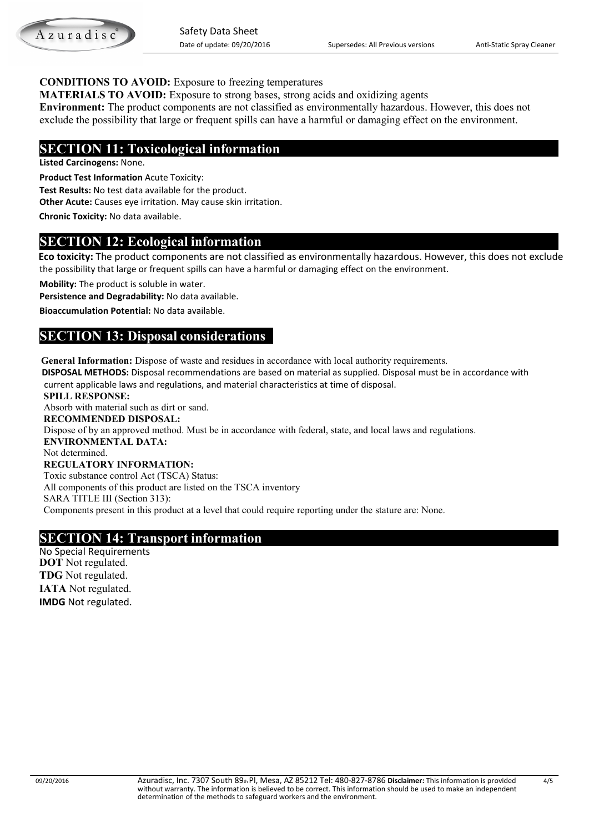

### **CONDITIONS TO AVOID:** Exposure to freezing temperatures

**MATERIALS TO AVOID:** Exposure to strong bases, strong acids and oxidizing agents

**Environment:** The product components are not classified as environmentally hazardous. However, this does not exclude the possibility that large or frequent spills can have a harmful or damaging effect on the environment.

# **SECTION 11: Toxicological information**

**Listed Carcinogens:** None.

**Product Test Information** Acute Toxicity:

**Test Results:** No test data available for the product.

**Other Acute:** Causes eye irritation. May cause skin irritation.

**Chronic Toxicity:** No data available.

# **SECTION 12: Ecological information**

 **Eco toxicity:** The product components are not classified as environmentally hazardous. However, this does not exclude the possibility that large or frequent spills can have a harmful or damaging effect on the environment.

**Mobility:** The product is soluble in water.

**Persistence and Degradability:** No data available.

**Bioaccumulation Potential:** No data available.

# **SECTION 13: Disposal considerations**

**General Information:** Dispose of waste and residues in accordance with local authority requirements.

 **DISPOSAL METHODS:** Disposal recommendations are based on material as supplied. Disposal must be in accordance with current applicable laws and regulations, and material characteristics at time of disposal.

 **SPILL RESPONSE:**  Absorb with material such as dirt or sand. **RECOMMENDED DISPOSAL:**  Dispose of by an approved method. Must be in accordance with federal, state, and local laws and regulations. **ENVIRONMENTAL DATA:**  Not determined. **REGULATORY INFORMATION:**  Toxic substance control Act (TSCA) Status: All components of this product are listed on the TSCA inventory SARA TITLE III (Section 313): Components present in this product at a level that could require reporting under the stature are: None.

# **SECTION 14: Transport information**<br>No Special Requirements

 **DOT** Not regulated.  **TDG** Not regulated.  **IATA** Not regulated.  **IMDG** Not regulated.